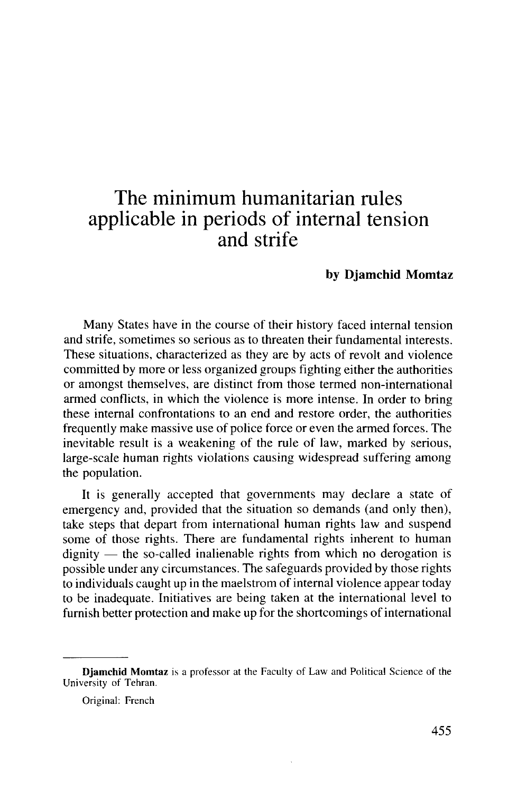# The minimum humanitarian rules applicable in periods of internal tension and strife

#### **by Djamchid Momtaz**

Many States have in the course of their history faced internal tension and strife, sometimes so serious as to threaten their fundamental interests. These situations, characterized as they are by acts of revolt and violence committed by more or less organized groups fighting either the authorities or amongst themselves, are distinct from those termed non-international armed conflicts, in which the violence is more intense. In order to bring these internal confrontations to an end and restore order, the authorities frequently make massive use of police force or even the armed forces. The inevitable result is a weakening of the rule of law, marked by serious, large-scale human rights violations causing widespread suffering among the population.

It is generally accepted that governments may declare a state of emergency and, provided that the situation so demands (and only then), take steps that depart from international human rights law and suspend some of those rights. There are fundamental rights inherent to human dignity — the so-called inalienable rights from which no derogation is possible under any circumstances. The safeguards provided by those rights to individuals caught up in the maelstrom of internal violence appear today to be inadequate. Initiatives are being taken at the international level to furnish better protection and make up for the shortcomings of international

**Djamchid Momtaz** is a professor at the Faculty of Law and Political Science of the University of Tehran.

Original: French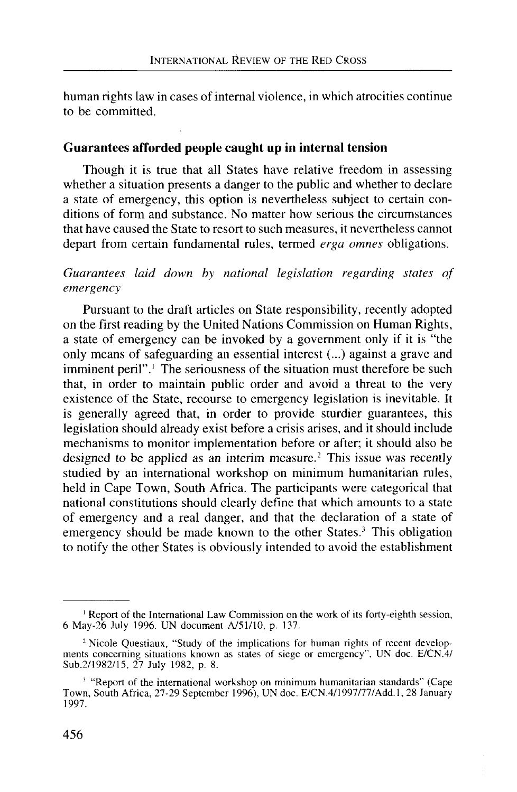human rights law in cases of internal violence, in which atrocities continue to be committed.

#### **Guarantees afforded people caught up in internal tension**

Though it is true that all States have relative freedom in assessing whether a situation presents a danger to the public and whether to declare a state of emergency, this option is nevertheless subject to certain conditions of form and substance. No matter how serious the circumstances that have caused the State to resort to such measures, it nevertheless cannot depart from certain fundamental rules, termed *erga omnes* obligations.

## *Guarantees laid down by national legislation regarding states of emergency*

Pursuant to the draft articles on State responsibility, recently adopted on the first reading by the United Nations Commission on Human Rights, a state of emergency can be invoked by a government only if it is "the only means of safeguarding an essential interest (...) against a grave and imminent peril".<sup>1</sup> The seriousness of the situation must therefore be such that, in order to maintain public order and avoid a threat to the very existence of the State, recourse to emergency legislation is inevitable. It is generally agreed that, in order to provide sturdier guarantees, this legislation should already exist before a crisis arises, and it should include mechanisms to monitor implementation before or after; it should also be designed to be applied as an interim measure.<sup>2</sup> This issue was recently studied by an international workshop on minimum humanitarian rules, held in Cape Town, South Africa. The participants were categorical that national constitutions should clearly define that which amounts to a state of emergency and a real danger, and that the declaration of a state of emergency should be made known to the other States.<sup>3</sup> This obligation to notify the other States is obviously intended to avoid the establishment

<sup>&</sup>lt;sup>1</sup> Report of the International Law Commission on the work of its forty-eighth session, 6 May-26 July 1996. UN document A/51/10, p. 137.

<sup>&</sup>lt;sup>2</sup> Nicole Questiaux, "Study of the implications for human rights of recent developments concerning situations known as states of siege or emergency", UN doc. E/CN.4/ Sub.2/1982/15, 27 July 1982, p. 8.

<sup>&</sup>lt;sup>3</sup> "Report of the international workshop on minimum humanitarian standards" (Cape Town, South Africa, 27-29 September 1996), UN doc. E/CN.4/1997/77/Add.l, 28 January 1997.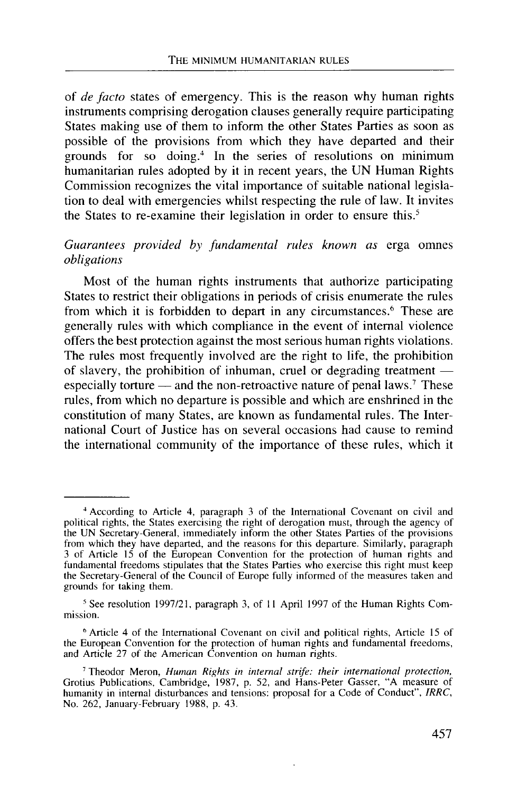of *de facto* states of emergency. This is the reason why human rights instruments comprising derogation clauses generally require participating States making use of them to inform the other States Parties as soon as possible of the provisions from which they have departed and their grounds for so doing.<sup>4</sup> In the series of resolutions on minimum humanitarian rules adopted by it in recent years, the UN Human Rights Commission recognizes the vital importance of suitable national legislation to deal with emergencies whilst respecting the rule of law. It invites the States to re-examine their legislation in order to ensure this.<sup>5</sup>

#### *Guarantees provided by fundamental rules known as* erga omnes *obligations*

Most of the human rights instruments that authorize participating States to restrict their obligations in periods of crisis enumerate the rules from which it is forbidden to depart in any circumstances.<sup>6</sup> These are generally rules with which compliance in the event of internal violence offers the best protection against the most serious human rights violations. The rules most frequently involved are the right to life, the prohibition of slavery, the prohibition of inhuman, cruel or degrading treatment especially torture — and the non-retroactive nature of penal laws.<sup>7</sup> These rules, from which no departure is possible and which are enshrined in the constitution of many States, are known as fundamental rules. The International Court of Justice has on several occasions had cause to remind the international community of the importance of these rules, which it

<sup>4</sup> According to Article 4, paragraph 3 of the International Covenant on civil and political rights, the States exercising the right of derogation must, through the agency of the UN Secretary-General, immediately inform the other States Parties of the provisions from which they have departed, and the reasons for this departure. Similarly, paragraph 3 of Article 15 of the European Convention for the protection of human rights and fundamental freedoms stipulates that the States Parties who exercise this right must keep the Secretary-General of the Council of Europe fully informed of the measures taken and grounds for taking them.

<sup>&</sup>lt;sup>5</sup> See resolution 1997/21, paragraph 3, of 11 April 1997 of the Human Rights Commission.

<sup>&</sup>lt;sup>6</sup> Article 4 of the International Covenant on civil and political rights, Article 15 of the European Convention for the protection of human rights and fundamental freedoms, and Article 27 of the American Convention on human rights.

<sup>7</sup> Theodor Meron, *Human Rights in internal strife: their international protection,* Grotius Publications, Cambridge, 1987, p. 52, and Hans-Peter Gasser, "A measure of humanity in internal disturbances and tensions: proposal for a Code of Conduct", *IRRC,* No. 262, January-February 1988, p. 43.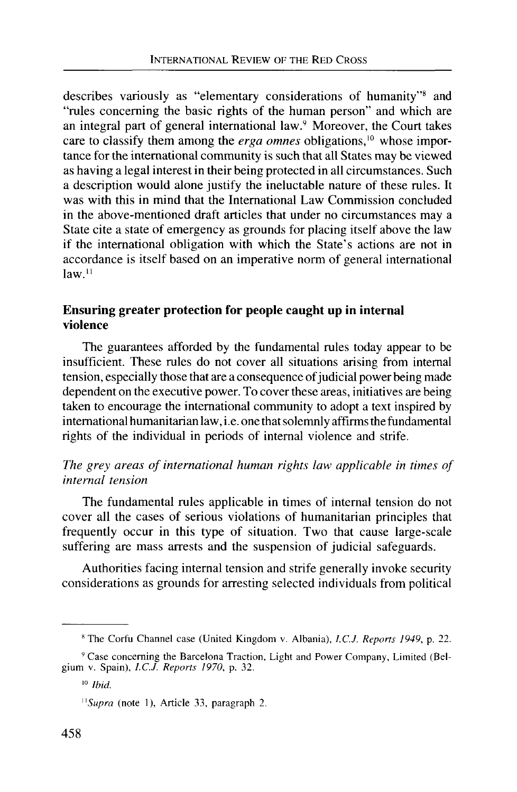describes variously as "elementary considerations of humanity"<sup>8</sup> and "rules concerning the basic rights of the human person" and which are an integral part of general international law.<sup>9</sup> Moreover, the Court takes care to classify them among the *erga omnes* obligations,<sup>10</sup> whose importance for the international community is such that all States may be viewed as having a legal interest in their being protected in all circumstances. Such a description would alone justify the ineluctable nature of these rules. It was with this in mind that the International Law Commission concluded in the above-mentioned draft articles that under no circumstances may a State cite a state of emergency as grounds for placing itself above the law if the international obligation with which the State's actions are not in accordance is itself based on an imperative norm of general international  $law<sup>11</sup>$ 

## **Ensuring greater protection for people caught up in internal violence**

The guarantees afforded by the fundamental rules today appear to be insufficient. These rules do not cover all situations arising from internal tension, especially those that are a consequence of judicial power being made dependent on the executive power. To cover these areas, initiatives are being taken to encourage the international community to adopt a text inspired by international humanitarian law, i.e. one that solemnly affirms the fundamental rights of the individual in periods of internal violence and strife.

#### *The grey areas of international human rights law applicable in times of internal tension*

The fundamental rules applicable in times of internal tension do not cover all the cases of serious violations of humanitarian principles that frequently occur in this type of situation. Two that cause large-scale suffering are mass arrests and the suspension of judicial safeguards.

Authorities facing internal tension and strife generally invoke security considerations as grounds for arresting selected individuals from political

<sup>8</sup> The Corfu Channel case (United Kingdom v. Albania), *I.C.J. Reports 1949,* p. 22.

<sup>&</sup>lt;sup>9</sup> Case concerning the Barcelona Traction, Light and Power Company, Limited (Belgium v. Spain), *I.C.J. Reports 1970,* p. 32.

<sup>10</sup>  *Ibid.*

*<sup>&</sup>quot;Supra* (note 1), Article 33, paragraph 2.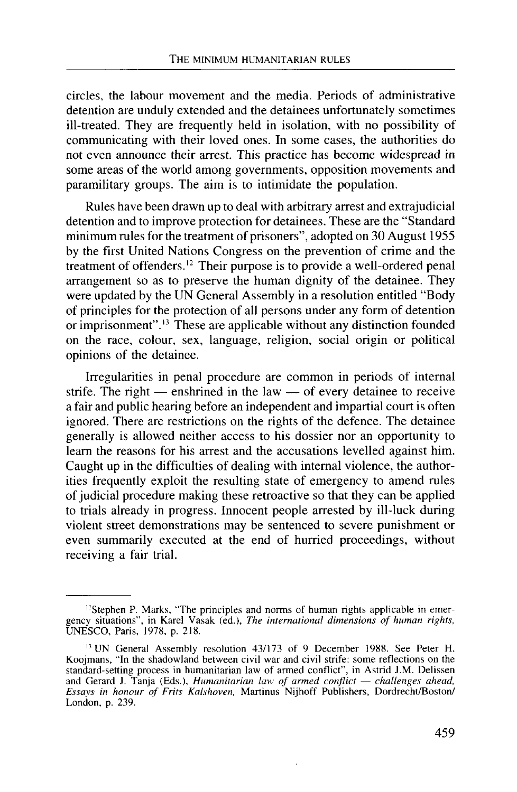circles, the labour movement and the media. Periods of administrative detention are unduly extended and the detainees unfortunately sometimes ill-treated. They are frequently held in isolation, with no possibility of communicating with their loved ones. In some cases, the authorities do not even announce their arrest. This practice has become widespread in some areas of the world among governments, opposition movements and paramilitary groups. The aim is to intimidate the population.

Rules have been drawn up to deal with arbitrary arrest and extrajudicial detention and to improve protection for detainees. These are the "Standard minimum rules for the treatment of prisoners", adopted on 30 August 1955 by the first United Nations Congress on the prevention of crime and the treatment of offenders.<sup>12</sup> Their purpose is to provide a well-ordered penal arrangement so as to preserve the human dignity of the detainee. They were updated by the UN General Assembly in a resolution entitled "Body of principles for the protection of all persons under any form of detention or imprisonment".<sup>13</sup> These are applicable without any distinction founded on the race, colour, sex, language, religion, social origin or political opinions of the detainee.

Irregularities in penal procedure are common in periods of internal strife. The right — enshrined in the law — of every detainee to receive a fair and public hearing before an independent and impartial court is often ignored. There are restrictions on the rights of the defence. The detainee generally is allowed neither access to his dossier nor an opportunity to learn the reasons for his arrest and the accusations levelled against him. Caught up in the difficulties of dealing with internal violence, the authorities frequently exploit the resulting state of emergency to amend rules of judicial procedure making these retroactive so that they can be applied to trials already in progress. Innocent people arrested by ill-luck during violent street demonstrations may be sentenced to severe punishment or even summarily executed at the end of hurried proceedings, without receiving a fair trial.

<sup>&</sup>lt;sup>12</sup>Stephen P. Marks, "The principles and norms of human rights applicable in emergency situations", in Karel Vasak (ed.), *The international dimensions of human rights,* UNESCO, Paris, 1978, p. 218.

<sup>&</sup>lt;sup>13</sup> UN General Assembly resolution 43/173 of 9 December 1988. See Peter H. Koojmans, "In the shadowland between civil war and civil strife: some reflections on the standard-setting process in humanitarian law of armed conflict", in Astrid J.M. Delissen and Gerard J. Tanja (Eds.), *Humanitarian law of armed conflict* — *challenges ahead, Essays in honour of Frits Kalshoven,* Martinus Nijhoff Publishers, Dordrecht/Boston/ London, p. 239.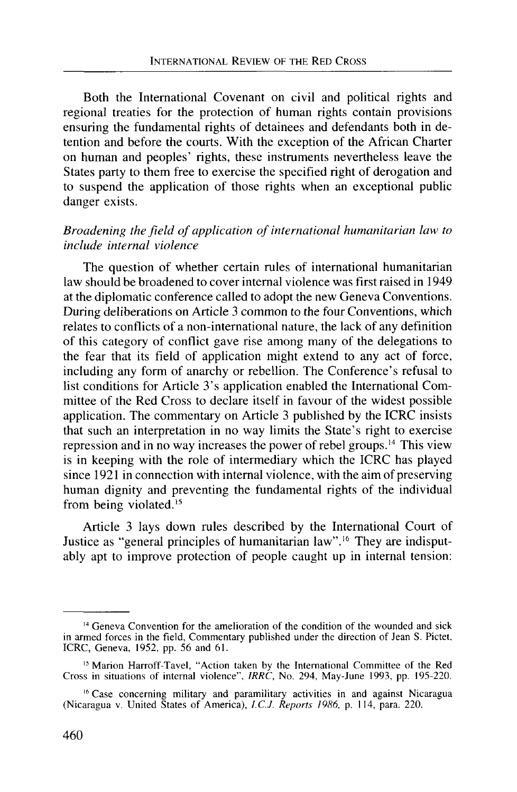Both the International Covenant on civil and political rights and regional treaties for the protection of human rights contain provisions ensuring the fundamental rights of detainees and defendants both in detention and before the courts. With the exception of the African Charter on human and peoples' rights, these instruments nevertheless leave the States party to them free to exercise the specified right of derogation and to suspend the application of those rights when an exceptional public danger exists.

## *Broadening the field of application of international humanitarian law to include internal violence*

The question of whether certain rules of international humanitarian law should be broadened to cover internal violence was first raised in 1949 at the diplomatic conference called to adopt the new Geneva Conventions. During deliberations on Article 3 common to the four Conventions, which relates to conflicts of a non-international nature, the lack of any definition of this category of conflict gave rise among many of the delegations to the fear that its field of application might extend to any act of force, including any form of anarchy or rebellion. The Conference's refusal to list conditions for Article 3's application enabled the International Committee of the Red Cross to declare itself in favour of the widest possible application. The commentary on Article 3 published by the ICRC insists that such an interpretation in no way limits the State's right to exercise repression and in no way increases the power of rebel groups.<sup>14</sup> This view is in keeping with the role of intermediary which the ICRC has played since 1921 in connection with internal violence, with the aim of preserving human dignity and preventing the fundamental rights of the individual from being violated.<sup>15</sup>

Article 3 lays down rules described by the International Court of Justice as "general principles of humanitarian law".<sup>16</sup> They are indisputably apt to improve protection of people caught up in internal tension:

<sup>&</sup>lt;sup>14</sup> Geneva Convention for the amelioration of the condition of the wounded and sick in armed forces in the field, Commentary published under the direction of Jean S. Pictet, ICRC, Geneva, 1952, pp. 56 and 61.

<sup>&</sup>lt;sup>15</sup> Marion Harroff-Tavel, "Action taken by the International Committee of the Red Cross in situations of internal violence", *IRRC,* No. 294, May-June 1993, pp. 195-220.

<sup>&</sup>lt;sup>16</sup> Case concerning military and paramilitary activities in and against Nicaragua (Nicaragua v. United States of America), *I.C.J. Reports 1986,* p. 114, para. 220.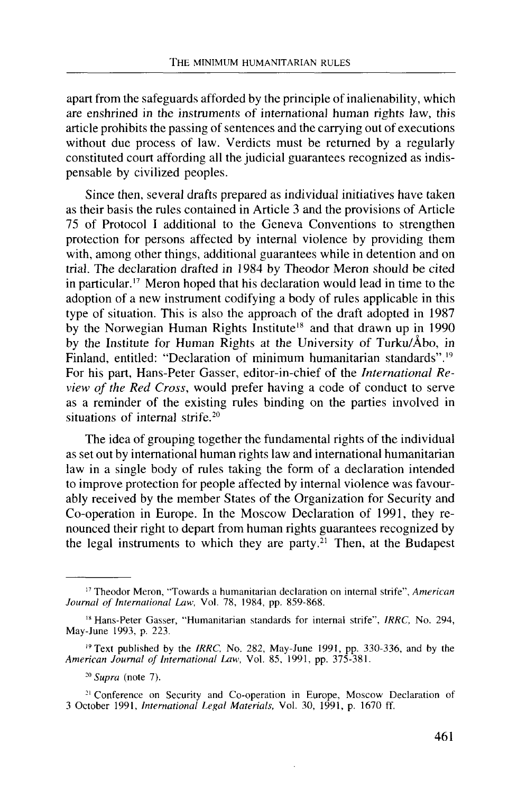apart from the safeguards afforded by the principle of inalienability, which are enshrined in the instruments of international human rights law, this article prohibits the passing of sentences and the carrying out of executions without due process of law. Verdicts must be returned by a regularly constituted court affording all the judicial guarantees recognized as indispensable by civilized peoples.

Since then, several drafts prepared as individual initiatives have taken as their basis the rules contained in Article 3 and the provisions of Article 75 of Protocol I additional to the Geneva Conventions to strengthen protection for persons affected by internal violence by providing them with, among other things, additional guarantees while in detention and on trial. The declaration drafted in 1984 by Theodor Meron should be cited in particular.<sup>17</sup> Meron hoped that his declaration would lead in time to the adoption of a new instrument codifying a body of rules applicable in this type of situation. This is also the approach of the draft adopted in 1987 by the Norwegian Human Rights Institute<sup>18</sup> and that drawn up in 1990 by the Institute for Human Rights at the University of Turku/Abo, in Finland, entitled: "Declaration of minimum humanitarian standards".<sup>19</sup> For his part, Hans-Peter Gasser, editor-in-chief of the *International Review of the Red Cross,* would prefer having a code of conduct to serve as a reminder of the existing rules binding on the parties involved in situations of internal strife.<sup>20</sup>

The idea of grouping together the fundamental rights of the individual as set out by international human rights law and international humanitarian law in a single body of rules taking the form of a declaration intended to improve protection for people affected by internal violence was favourably received by the member States of the Organization for Security and Co-operation in Europe. In the Moscow Declaration of 1991, they renounced their right to depart from human rights guarantees recognized by the legal instruments to which they are party.<sup>21</sup> Then, at the Budapest

<sup>17</sup> Theodor Meron, "Towards a humanitarian declaration on internal strife", *American Journal of International Law,* Vol. 78, 1984, pp. 859-868.

<sup>18</sup> Hans-Peter Gasser, "Humanitarian standards for internal strife", *IRRC,* No. 294, May-June 1993, p. 223.

<sup>&</sup>lt;sup>19</sup> Text published by the *IRRC*, No. 282, May-June 1991, pp. 330-336, and by the *American Journal of International Law,* Vol. 85, 1991, pp. 375-381.

<sup>20</sup>  *Supra* (note 7).

<sup>&</sup>lt;sup>21</sup> Conference on Security and Co-operation in Europe, Moscow Declaration of 3 October 1991, *International Legal Materials,* Vol. 30, 1991, p. 1670 ff.